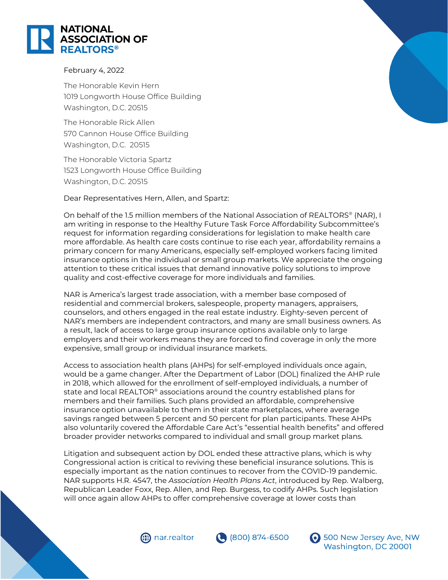

## February 4, 2022

The Honorable Kevin Hern 1019 Longworth House Office Building Washington, D.C. 20515

The Honorable Rick Allen 570 Cannon House Office Building Washington, D.C. 20515

The Honorable Victoria Spartz 1523 Longworth House Office Building Washington, D.C. 20515

## Dear Representatives Hern, Allen, and Spartz:

On behalf of the 1.5 million members of the National Association of REALTORS® (NAR), I am writing in response to the Healthy Future Task Force Affordability Subcommittee's request for information regarding considerations for legislation to make health care more affordable. As health care costs continue to rise each year, affordability remains a primary concern for many Americans, especially self-employed workers facing limited insurance options in the individual or small group markets. We appreciate the ongoing attention to these critical issues that demand innovative policy solutions to improve quality and cost-effective coverage for more individuals and families.

NAR is America's largest trade association, with a member base composed of residential and commercial brokers, salespeople, property managers, appraisers, counselors, and others engaged in the real estate industry. Eighty-seven percent of NAR's members are independent contractors, and many are small business owners. As a result, lack of access to large group insurance options available only to large employers and their workers means they are forced to find coverage in only the more expensive, small group or individual insurance markets.

Access to association health plans (AHPs) for self-employed individuals once again, would be a game changer. After the Department of Labor (DOL) finalized the AHP rule in 2018, which allowed for the enrollment of self-employed individuals, a number of state and local REALTOR® associations around the country established plans for members and their families. Such plans provided an affordable, comprehensive insurance option unavailable to them in their state marketplaces, where average savings ranged between 5 percent and 50 percent for plan participants. These AHPs also voluntarily covered the Affordable Care Act's "essential health benefits" and offered broader provider networks compared to individual and small group market plans.

Litigation and subsequent action by DOL ended these attractive plans, which is why Congressional action is critical to reviving these beneficial insurance solutions. This is especially important as the nation continues to recover from the COVID-19 pandemic. NAR supports H.R. 4547, the *Association Health Plans Act*, introduced by Rep. Walberg, Republican Leader Foxx, Rep. Allen, and Rep. Burgess, to codify AHPs. Such legislation will once again allow AHPs to offer comprehensive coverage at lower costs than







**6** 500 New Jersey Ave, NW Washington, DC 20001